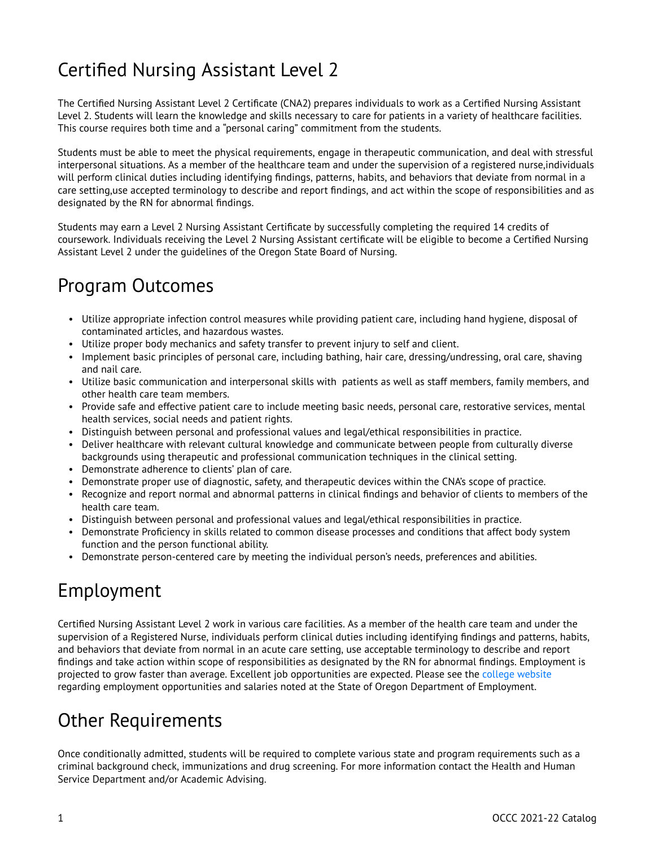## Certified Nursing Assistant Level 2

The Certified Nursing Assistant Level 2 Certificate (CNA2) prepares individuals to work as a Certified Nursing Assistant Level 2. Students will learn the knowledge and skills necessary to care for patients in a variety of healthcare facilities. This course requires both time and a "personal caring" commitment from the students.

Students must be able to meet the physical requirements, engage in therapeutic communication, and deal with stressful interpersonal situations. As a member of the healthcare team and under the supervision of a registered nurse,individuals will perform clinical duties including identifying findings, patterns, habits, and behaviors that deviate from normal in a care setting,use accepted terminology to describe and report findings, and act within the scope of responsibilities and as designated by the RN for abnormal findings.

Students may earn a Level 2 Nursing Assistant Certificate by successfully completing the required 14 credits of coursework. Individuals receiving the Level 2 Nursing Assistant certificate will be eligible to become a Certified Nursing Assistant Level 2 under the guidelines of the Oregon State Board of Nursing.

### Program Outcomes

- Utilize appropriate infection control measures while providing patient care, including hand hygiene, disposal of contaminated articles, and hazardous wastes.
- Utilize proper body mechanics and safety transfer to prevent injury to self and client.
- Implement basic principles of personal care, including bathing, hair care, dressing/undressing, oral care, shaving and nail care.
- Utilize basic communication and interpersonal skills with patients as well as staff members, family members, and other health care team members.
- Provide safe and effective patient care to include meeting basic needs, personal care, restorative services, mental health services, social needs and patient rights.
- Distinguish between personal and professional values and legal/ethical responsibilities in practice.
- Deliver healthcare with relevant cultural knowledge and communicate between people from culturally diverse backgrounds using therapeutic and professional communication techniques in the clinical setting.
- Demonstrate adherence to clients' plan of care.
- Demonstrate proper use of diagnostic, safety, and therapeutic devices within the CNA's scope of practice.
- Recognize and report normal and abnormal patterns in clinical findings and behavior of clients to members of the health care team.
- Distinguish between personal and professional values and legal/ethical responsibilities in practice.
- Demonstrate Proficiency in skills related to common disease processes and conditions that affect body system function and the person functional ability.
- Demonstrate person-centered care by meeting the individual person's needs, preferences and abilities.

#### Employment

Certified Nursing Assistant Level 2 work in various care facilities. As a member of the health care team and under the supervision of a Registered Nurse, individuals perform clinical duties including identifying findings and patterns, habits, and behaviors that deviate from normal in an acute care setting, use acceptable terminology to describe and report findings and take action within scope of responsibilities as designated by the RN for abnormal findings. Employment is projected to grow faster than average. Excellent job opportunities are expected. Please see the [college website](http://www.oregoncoast.edu/portfolio/certified-nursing-assistant-level-2-less-than-one-year-certificate/)  regarding employment opportunities and salaries noted at the State of Oregon Department of Employment.

## Other Requirements

Once conditionally admitted, students will be required to complete various state and program requirements such as a criminal background check, immunizations and drug screening. For more information contact the Health and Human Service Department and/or Academic Advising.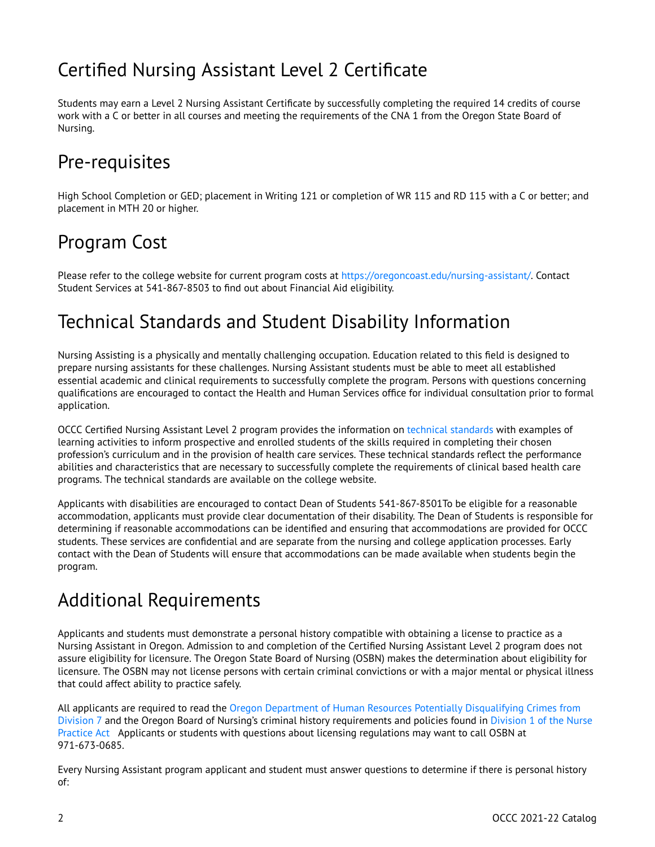### Certified Nursing Assistant Level 2 Certificate

Students may earn a Level 2 Nursing Assistant Certificate by successfully completing the required 14 credits of course work with a C or better in all courses and meeting the requirements of the CNA 1 from the Oregon State Board of Nursing.

### Pre-requisites

High School Completion or GED; placement in Writing 121 or completion of WR 115 and RD 115 with a C or better; and placement in MTH 20 or higher.

#### Program Cost

Please refer to the college website for current program costs at<https://oregoncoast.edu/nursing-assistant/>. Contact Student Services at 541-867-8503 to find out about Financial Aid eligibility.

## Technical Standards and Student Disability Information

Nursing Assisting is a physically and mentally challenging occupation. Education related to this field is designed to prepare nursing assistants for these challenges. Nursing Assistant students must be able to meet all established essential academic and clinical requirements to successfully complete the program. Persons with questions concerning qualifications are encouraged to contact the Health and Human Services office for individual consultation prior to formal application.

OCCC Certified Nursing Assistant Level 2 program provides the information on [technical standards](http://www.oregoncoast.edu/portfolio/certified-nursing-assistant-level-2-less-than-one-year-certificate/) with examples of learning activities to inform prospective and enrolled students of the skills required in completing their chosen profession's curriculum and in the provision of health care services. These technical standards reflect the performance abilities and characteristics that are necessary to successfully complete the requirements of clinical based health care programs. The technical standards are available on the college website.

Applicants with disabilities are encouraged to contact Dean of Students 541-867-8501To be eligible for a reasonable accommodation, applicants must provide clear documentation of their disability. The Dean of Students is responsible for determining if reasonable accommodations can be identified and ensuring that accommodations are provided for OCCC students. These services are confidential and are separate from the nursing and college application processes. Early contact with the Dean of Students will ensure that accommodations can be made available when students begin the program.

# Additional Requirements

Applicants and students must demonstrate a personal history compatible with obtaining a license to practice as a Nursing Assistant in Oregon. Admission to and completion of the Certified Nursing Assistant Level 2 program does not assure eligibility for licensure. The Oregon State Board of Nursing (OSBN) makes the determination about eligibility for licensure. The OSBN may not license persons with certain criminal convictions or with a major mental or physical illness that could affect ability to practice safely.

All applicants are required to read the [Oregon Department of Human Resources Potentially Disqualifying Crimes from](http://arcweb.sos.state.or.us/pages/rules/oars_400/oar_407/407_007.html%20.)  [Division 7](http://arcweb.sos.state.or.us/pages/rules/oars_400/oar_407/407_007.html%20.) and the Oregon Board of Nursing's criminal history requirements and policies found in [Division 1 of the Nurse](https://arcweb.sos.state.or.us/pages/rules/oars_800/oar_851/851_001.html) [Practice Act](https://arcweb.sos.state.or.us/pages/rules/oars_800/oar_851/851_001.html) Applicants or students with questions about licensing regulations may want to call OSBN at 971-673-0685.

Every Nursing Assistant program applicant and student must answer questions to determine if there is personal history of: